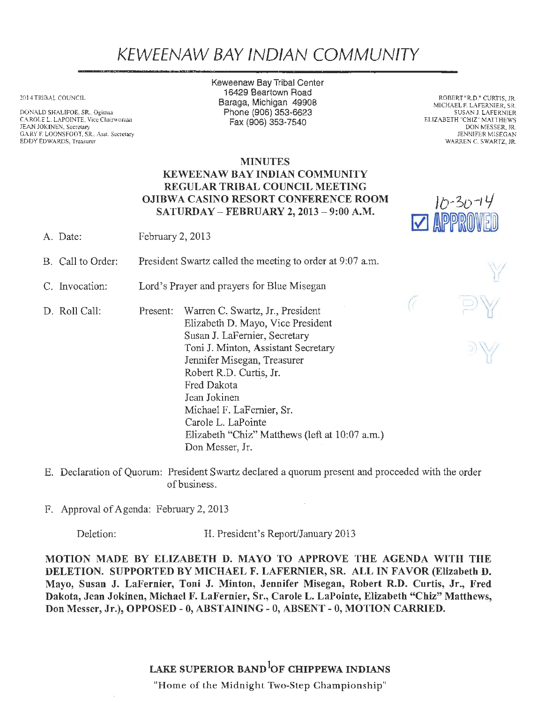# KEWEENAW BAY IND/AN COMMUNITY

2014 TRIBAL COUNCIL

DONALD SHALIFOE, SR., Ogimaa CAROLE L. LAPOINTE, Vice Chairwoman JEAN JOKINEN, Secretary GARY F. LOONS FOOT, SR., Asst. Secretary EDDY EDWARDS, Treasurer

Keweenaw Bay Tribal Center 16429 Beartown Road Baraga, Michigan 49908 Phone (906) 353-6623 Fax(906}353-7540

ROBERT "R.D." CURTIS, JR. MICHAEL F. LAFERNIER, SR. SUSAN J LAFERNIER ELIZABETH "CHIZ" MATTHEWS DON MESSER, JR. JENNIFER MISEGAN WARREN C. SWARTZ, JR.

 $10 - 30 - 14$ 

**V APPR** 

### MINUTES KEWEENAW BAY INDIAN COMMUNITY REGULAR TRIBAL COUNCIL MEETING OJIBWA CASINO RESORT CONFERENCE ROOM SATURDAY - FEBRUARY 2, 2013 - 9:00 A.M.

A. Date: February 2, 2013

B. Call to Order: President Swartz called the meeting to order at 9:07 a.m.

C. Invocation: Lord's Prayer and prayers for Blue Misegan

- D. Roll Call: Present: Warren C. Swartz, Jr., President Elizabeth D. Mayo, Vice President Susan J. LaFernier, Secretary Toni J. Minton, Assistant Secretary Jennifer Misegan, Treasurer Robert R.D. Curtis, Jr. Fred Dakota Jean Jokinen Michael F. LaFernier, Sr. Carole L. LaPointe Elizabeth "Chiz" Matthews (left at 10:07 a.m.) Don Messer, Jr.
- E. Declaration of Quorum: President Swartz declared a quorum present and proceeded with the order of business.
- F. Approval of Agenda: February 2, 2013

Deletion: H. President's Report/January 2013

MOTION MADE BY ELIZABETH D. MAYO TO APPROVE THE AGENDA WITH THE DELETION. SUPPORTED BY MICHAEL F. LAFERNIER, SR. ALL IN FAVOR (Elizabeth D. Mayo, Susan J. LaFernier, Toni J. Minton, Jennifer Misegan, Robert R.D. Curtis, Jr., Fred Dakota, Jean Jokinen, Michael F. LaFernier, Sr., Carole L. LaPointe, Elizabeth "Chiz" Matthews, Don Messer, Jr.), OPPOSED - O, ABSTAINING - 0, ABSENT- 0, MOTION CARRIED.

## LAKE SUPERIOR BAND<sup>1</sup>OF CHIPPEWA INDIANS

"Home of the Midnight Two-Step Championship"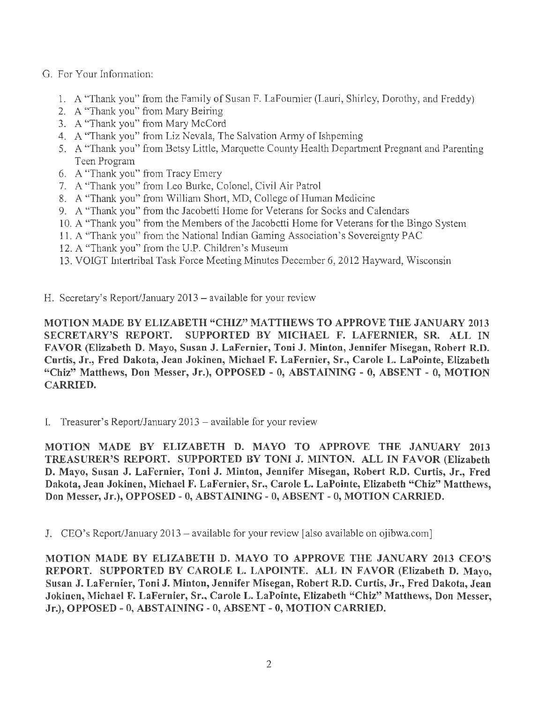## G. For Your Infonnation:

- 1. A "Thank you" from the Family of Susan F. LaFournier (Lauri, Shirley, Dorothy, and Freddy)
- 2. A "Thank you" from Mary Beiring
- 3. A "Thank you" from Mary McCord
- 4. A "Thank you" from Liz Nevala, The Salvation Army of Ishpeming
- 5. A "Thank you" from Betsy Little, Marquette County Health Department Pregnant and Parenting Teen Program
- 6. A "Thank you" from Tracy Emery
- 7. A "Thank you" from Leo Burke, Colonel, Civil Air Patrol
- 8. A "Thank you" from William Short, MD, College of Human Medicine
- 9. A "Thank you" from the Jacobetti Home for Veterans for Socks and Calendars
- 10. A "Thank you" from the Members of the Jacobetti Home for Veterans for the Bingo System
- 11. A "Thank you" from the National Indian Gaming Association's Sovereignty PAC
- 12. A "Thank you" from the U.P. Children's Museum
- 13. VOIGT Intertribal Task Force Meeting Minutes December 6, 2012 Hayward, Wisconsin

H. Secretary's Report/January 2013 – available for your review

MOTION MADE BY ELIZABETH "CHIZ" MATTHEWS TO APPROVE THE JANUARY 2013 SECRETARY'S REPORT. SUPPORTED BY MICHAEL F. LAFERNIER, SR. ALL IN FAVOR (Elizabeth D. Mayo, Susan J. LaFernier, Toni J. Minton, Jennifer Misegan, Robert R.D. Curtis, Jr., Fred Dakota, Jean Jokinen, Michael F. LaFernier, Sr., Carole L. LaPointe, Elizabeth "Chiz" Matthews, Don Messer, Jr.), OPPOSED - O, ABSTAINING - 0, ABSENT - 0, MOTION CARRIED.

I. Treasurer's Report/January  $2013$  – available for your review

MOTION MADE BY ELIZABETH D. MAYO TO APPROVE THE JANUARY 2013 TREASURER'S REPORT. SUPPORTED BY TONI J. MINTON. ALL IN FAVOR (Elizabeth D. Mayo, Susan J. LaFernier, Toni J. Minton, Jennifer Misegan, Robert R.D. Curtis, Jr., Fred Dakota, Jean Jokinen, Michael F. LaFernier, Sr., Carole L. LaPointe, Elizabeth "Chiz" Matthews, Don Messer, Jr.), OPPOSED - 0, ABSTAINING - 0, ABSENT - O, MOTION CARRIED.

J. CEO's Report/January 2013 – available for your review [also available on ojibwa.com]

MOTION MADE BY ELIZABETH D. MAYO TO APPROVE THE JANUARY 2013 CEO'S REPORT. SUPPORTED BY CAROLE L. LAPOINTE. ALL IN FAVOR (Elizabeth D. Mayo, Susan J. LaFernier, Toni J. Minton, Jennifer Misegan, Robert R.D. Curtis, Jr., Fred Dakota, Jean Jokinen, Michael F. LaFernier, Sr., Carole L. LaPointe, Elizabeth "Chiz" Matthews, Don Messer, Jr.), OPPOSED - 0, ABSTAINING - 0, ABSENT- 0, MOTION CARRIED.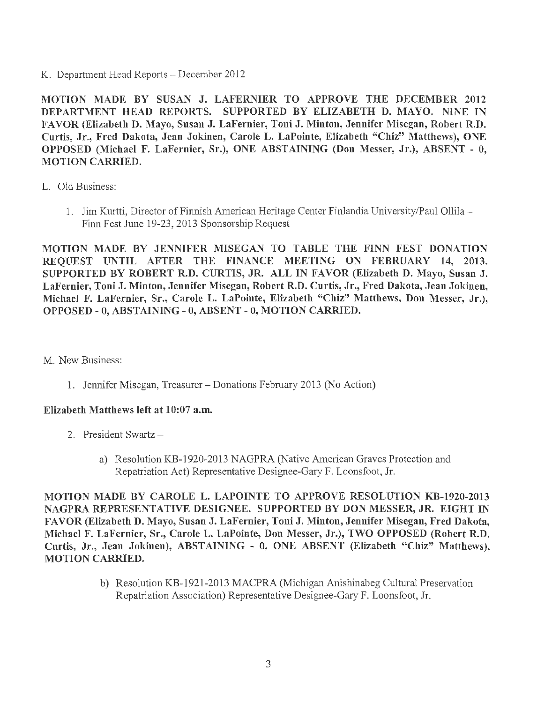K. Department Head Reports - December 2012

MOTION MADE BY SUSAN J. LAFERNIER TO APPROVE THE DECEMBER 2012 DEPARTMENT HEAD REPORTS. SUPPORTED BY ELIZABETH D. MAYO. NINE IN FAVOR (Elizabeth D. Mayo, Susan J. LaFernier, Toni J. Minton, Jennifer Misegan, Robert R.D. Curtis, Jr., Fred Dakota, Jean Jokinen, Carole L. LaPointe, Elizabeth "Chiz" Matthews), ONE OPPOSED (Michael F. LaFernier, Sr.), ONE ABSTAINING (Don Messer, Jr.), ABSENT - O, MOTION CARRIED.

- L. Old Business:
	- 1. Jim Kurtti, Director of Finnish American Heritage Center Finlandia University/Paul Ollila Finn Fest June 19-23, 2013 Sponsorship Request

MOTION MADE BY JENNIFER MISEGAN TO TABLE THE FINN FEST DONATION REQUEST UNTIL AFTER THE FINANCE MEETING ON FEBRUARY 14, 2013. SUPPORTED BY ROBERT R.D. CURTIS, JR. ALL IN FAVOR (Elizabeth D. Mayo, Susan J. LaFernier, Toni J. Minton, Jennifer Misegan, Robert R.D. Curtis, Jr., Fred Dakota, Jean Jokinen, Michael F. LaFernier, Sr., Carole L. LaPointe, Elizabeth "Chiz" Matthews, Don Messer, Jr.), OPPOSED- 0, ABSTAINING-0, ABSENT- 0, MOTION CARRIED.

M. New Business:

1. Jennifer Misegan, Treasurer - Donations February 2013 (No Action)

### Elizabeth Matthews left at 10:07 a.m.

- 2. President Swartz
	- a) Resolution KB-1920-2013 NAGPRA (Native American Graves Protection and Repatriation Act) Representative Designee-Gary F. Loonsfoot, Jr.

MOTION MADE BY CAROLE L. LAPOINTE TO APPROVE RESOLUTION KB-1920-2013 NAGPRA REPRESENTATIVE DESIGNEE. SUPPORTED BY DON MESSER, JR. EIGHT IN FAVOR (Elizabeth D. Mayo, Susan J. LaFernier, Toni J. Minton, Jennifer Misegan, Fred Dakota, Michael F. LaFernier, Sr., Carole L. LaPointe, Don Messer, Jr.), TWO OPPOSED (Robert R.D. Curtis, Jr., Jean Jokinen), ABSTAINING - 0, ONE ABSENT (Elizabeth "Chiz" Matthews), MOTION CARRIED.

> b) Resolution KB-1921-2013 MACPRA (Michigan Anishinabeg Cultural Preservation Repatriation Association) Representative Designee-Gary F. Loonsfoot, Jr.